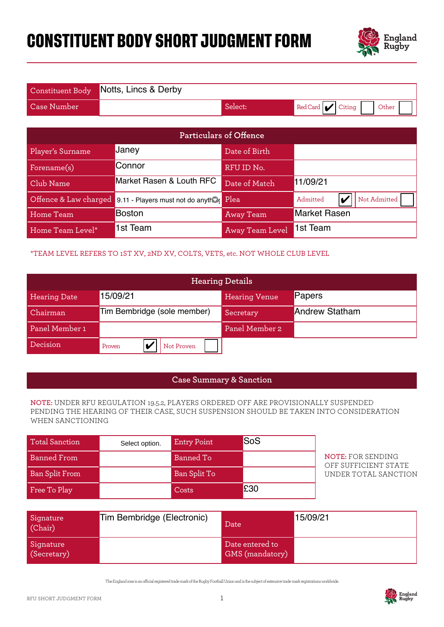# **CONSTITUENT BODY SHORT JUDGMENT FORM**



|                    | Constituent Body Notts, Lincs & Derby |         |                       |
|--------------------|---------------------------------------|---------|-----------------------|
| <b>Case Number</b> |                                       | Select: | Red Card Citing Other |

|                       |                                                                              |                    | <b>Particulars of Offence</b>      |                                                                                                                                                                             |
|-----------------------|------------------------------------------------------------------------------|--------------------|------------------------------------|-----------------------------------------------------------------------------------------------------------------------------------------------------------------------------|
| Player's Surname      | Janey                                                                        |                    | Date of Birth                      |                                                                                                                                                                             |
| Forename(s)           | Connor                                                                       |                    | RFU ID No.                         |                                                                                                                                                                             |
| Club Name             | Market Rasen & Louth RFC                                                     |                    | Date of Match                      | 11/09/21                                                                                                                                                                    |
| Offence & Law charged | 9.11 - Players must not do anything                                          |                    | Plea                               | Not Admitted<br>Admitted<br>$\boldsymbol{\nu}$                                                                                                                              |
| <b>Home Team</b>      | <b>Boston</b>                                                                |                    | <b>Away Team</b>                   | <b>Market Rasen</b>                                                                                                                                                         |
| Home Team Level*      | 1st Team                                                                     |                    | <b>Away Team Level</b>             | 1st Team                                                                                                                                                                    |
|                       | *TEAM LEVEL REFERS TO 1ST XV, 2ND XV, COLTS, VETS, etc. NOT WHOLE CLUB LEVEL |                    |                                    |                                                                                                                                                                             |
|                       |                                                                              |                    | <b>Hearing Details</b>             |                                                                                                                                                                             |
| <b>Hearing Date</b>   | 15/09/21                                                                     |                    | <b>Hearing Venue</b>               | Papers                                                                                                                                                                      |
| Chairman              | Tim Bembridge (sole member)                                                  |                    | Secretary                          | <b>Andrew Statham</b>                                                                                                                                                       |
| Panel Member 1        |                                                                              |                    | Panel Member 2                     |                                                                                                                                                                             |
| Decision              | V<br>Proven                                                                  | Not Proven         |                                    |                                                                                                                                                                             |
|                       |                                                                              |                    |                                    |                                                                                                                                                                             |
|                       |                                                                              |                    | <b>Case Summary &amp; Sanction</b> |                                                                                                                                                                             |
| WHEN SANCTIONING      |                                                                              |                    |                                    | NOTE: UNDER RFU REGULATION 19.5.2, PLAYERS ORDERED OFF ARE PROVISIONALLY SUSPENDED<br>PENDING THE HEARING OF THEIR CASE, SUCH SUSPENSION SHOULD BE TAKEN INTO CONSIDERATION |
| <b>Total Sanction</b> | Select option.                                                               | <b>Entry Point</b> | SoS                                |                                                                                                                                                                             |
| <b>Banned From</b>    |                                                                              | <b>Banned To</b>   |                                    | <b>NOTE: FOR SENDING</b><br>OFF SUFFICIENT STATE                                                                                                                            |
| <b>Ban Split From</b> |                                                                              | Ban Split To       |                                    | UNDER TOTAL SANCTION                                                                                                                                                        |
| Free To Play          |                                                                              | Costs              | £30                                |                                                                                                                                                                             |

### \*TEAM LEVEL REFERS TO 1ST XV, 2ND XV, COLTS, VETS, etc. NOT WHOLE CLUB LEVEL

|                     |                             | <b>Hearing Details</b> |                       |
|---------------------|-----------------------------|------------------------|-----------------------|
| <b>Hearing Date</b> | 5/09/21                     | <b>Hearing Venue</b>   | Papers                |
| Chairman            | Tim Bembridge (sole member) | Secretary              | <b>Andrew Statham</b> |
| Panel Member 1      |                             | Panel Member 2         |                       |
| Decision            | Not Proven<br>Proven        |                        |                       |

#### **Case Summary & Sanction**

#### **NOTE:** UNDER RFU REGULATION 19.5.2, PLAYERS ORDERED OFF ARE PROVISIONALLY SUSPENDED PENDING THE HEARING OF THEIR CASE, SUCH SUSPENSION SHOULD BE TAKEN INTO CONSIDERATION WHEN SANCTIONING

| <b>Total Sanction</b> | Select option. | <b>Entry Point</b> | <b>SoS</b> |
|-----------------------|----------------|--------------------|------------|
| <b>Banned From</b>    |                | <b>Banned To</b>   |            |
| <b>Ban Split From</b> |                | Ban Split To       |            |
| Free To Play          |                | Costs              | £30        |

| Signature<br>(Chair)     | Tim Bembridge (Electronic) | Date                               | 15/09/21 |
|--------------------------|----------------------------|------------------------------------|----------|
| Signature<br>(Secretary) |                            | Date entered to<br>GMS (mandatory) |          |

The England rose is an ocial registered trade mark of the Rugby Football Union and is the subject of extensive trade mark registrations worldwide.

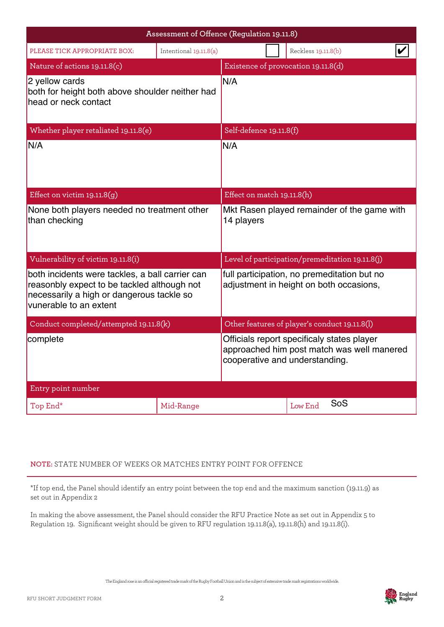|                                                                                                                                                                       | Assessment of Offence (Regulation 19.11.8) |                                                                                                                            |  |                                                 |  |
|-----------------------------------------------------------------------------------------------------------------------------------------------------------------------|--------------------------------------------|----------------------------------------------------------------------------------------------------------------------------|--|-------------------------------------------------|--|
| PLEASE TICK APPROPRIATE BOX:                                                                                                                                          | Intentional 19.11.8(a)                     |                                                                                                                            |  | Reckless 19.11.8(b)                             |  |
| Nature of actions 19.11.8(c)                                                                                                                                          |                                            |                                                                                                                            |  | Existence of provocation 19.11.8(d)             |  |
| 2 yellow cards<br>both for height both above shoulder neither had<br>head or neck contact                                                                             |                                            | N/A                                                                                                                        |  |                                                 |  |
| Whether player retaliated 19.11.8(e)                                                                                                                                  |                                            | Self-defence 19.11.8(f)                                                                                                    |  |                                                 |  |
| N/A                                                                                                                                                                   |                                            | N/A                                                                                                                        |  |                                                 |  |
| Effect on victim $19.11.8(g)$                                                                                                                                         |                                            | Effect on match 19.11.8(h)                                                                                                 |  |                                                 |  |
| None both players needed no treatment other<br>than checking                                                                                                          |                                            | 14 players                                                                                                                 |  | Mkt Rasen played remainder of the game with     |  |
| Vulnerability of victim 19.11.8(i)                                                                                                                                    |                                            |                                                                                                                            |  | Level of participation/premeditation 19.11.8(j) |  |
| both incidents were tackles, a ball carrier can<br>reasonbly expect to be tackled although not<br>necessarily a high or dangerous tackle so<br>vunerable to an extent |                                            | full participation, no premeditation but no<br>adjustment in height on both occasions,                                     |  |                                                 |  |
| Conduct completed/attempted 19.11.8(k)                                                                                                                                |                                            |                                                                                                                            |  | Other features of player's conduct 19.11.8(l)   |  |
| complete                                                                                                                                                              |                                            | Officials report specificaly states player<br>approached him post match was well manered<br>cooperative and understanding. |  |                                                 |  |
| Entry point number                                                                                                                                                    |                                            |                                                                                                                            |  |                                                 |  |
| Top End*                                                                                                                                                              | Mid-Range                                  |                                                                                                                            |  | SoS<br>Low End                                  |  |

## **NOTE:** STATE NUMBER OF WEEKS OR MATCHES ENTRY POINT FOR OFFENCE

\*If top end, the Panel should identify an entry point between the top end and the maximum sanction (19.11.9) as set out in Appendix 2

In making the above assessment, the Panel should consider the RFU Practice Note as set out in Appendix 5 to Regulation 19. Significant weight should be given to RFU regulation 19.11.8(a), 19.11.8(h) and 19.11.8(i).

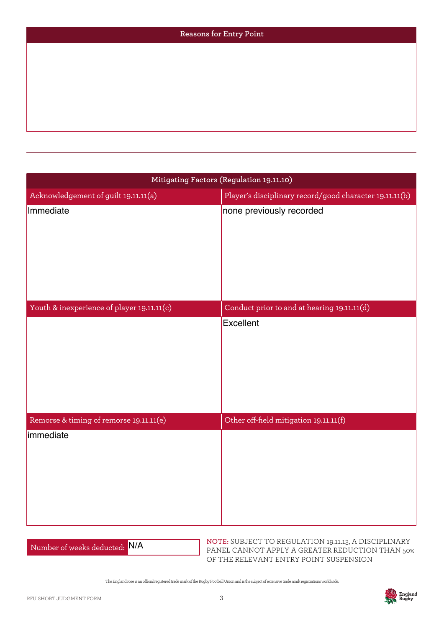| Reasons for Entry Point |
|-------------------------|
|                         |
|                         |
|                         |
|                         |
|                         |

| Mitigating Factors (Regulation 19.11.10)   |                                                         |  |  |
|--------------------------------------------|---------------------------------------------------------|--|--|
| Acknowledgement of guilt 19.11.11(a)       | Player's disciplinary record/good character 19.11.11(b) |  |  |
| Immediate                                  | none previously recorded                                |  |  |
| Youth & inexperience of player 19.11.11(c) | Conduct prior to and at hearing 19.11.11(d)             |  |  |
|                                            | Excellent                                               |  |  |
| Remorse & timing of remorse 19.11.11(e)    | Other off-field mitigation 19.11.11(f)                  |  |  |
| immediate                                  |                                                         |  |  |

Number of weeks deducted: N/A

**NOTE:** SUBJECT TO REGULATION 19.11.13, A DISCIPLINARY PANEL CANNOT APPLY A GREATER REDUCTION THAN 50% OF THE RELEVANT ENTRY POINT SUSPENSION

The England rose is an ocial registered trade mark of the Rugby Football Union and is the subject of extensive trade mark registrations worldwide.